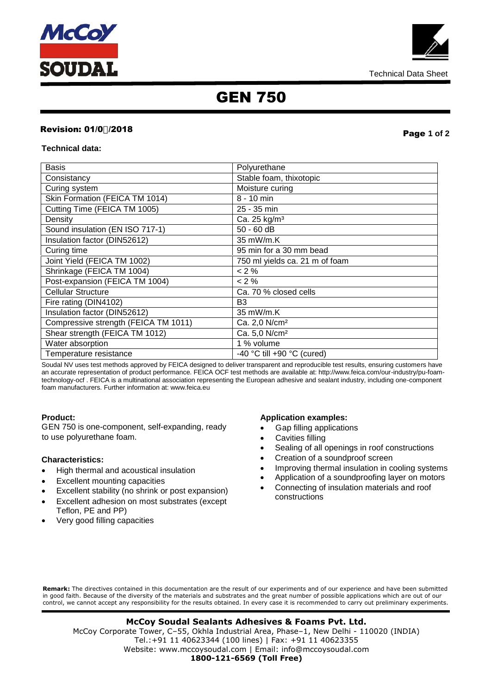



## GEN 750

## **Revision: 01/0-/2018 Page 1 of 2**

## **Technical data:**

| <b>Basis</b>                         | Polyurethane                   |
|--------------------------------------|--------------------------------|
| Consistancy                          | Stable foam, thixotopic        |
| Curing system                        | Moisture curing                |
| Skin Formation (FEICA TM 1014)       | 8 - 10 min                     |
| Cutting Time (FEICA TM 1005)         | 25 - 35 min                    |
| Density                              | Ca. 25 kg/m <sup>3</sup>       |
| Sound insulation (EN ISO 717-1)      | $50 - 60$ dB                   |
| Insulation factor (DIN52612)         | 35 mW/m.K                      |
| Curing time                          | 95 min for a 30 mm bead        |
| Joint Yield (FEICA TM 1002)          | 750 ml yields ca. 21 m of foam |
| Shrinkage (FEICA TM 1004)            | $<$ 2 %                        |
| Post-expansion (FEICA TM 1004)       | $<$ 2 %                        |
| <b>Cellular Structure</b>            | Ca. 70 % closed cells          |
| Fire rating (DIN4102)                | B <sub>3</sub>                 |
| Insulation factor (DIN52612)         | 35 mW/m.K                      |
| Compressive strength (FEICA TM 1011) | Ca. 2,0 N/cm <sup>2</sup>      |
| Shear strength (FEICA TM 1012)       | Ca. 5,0 N/cm <sup>2</sup>      |
| Water absorption                     | 1 % volume                     |
| Temperature resistance               | -40 °C till +90 °C (cured)     |

Soudal NV uses test methods approved by FEICA designed to deliver transparent and reproducible test results, ensuring customers have an accurate representation of product performance. FEICA OCF test methods are available at: http://www.feica.com/our-industry/pu-foamtechnology-ocf . FEICA is a multinational association representing the European adhesive and sealant industry, including one-component foam manufacturers. Further information at: www.feica.eu

## **Product:**

G EN 750 is one-component, self-expanding, ready to use polyurethane foam.

## **Characteristics:**

- High thermal and acoustical insulation
- Excellent mounting capacities
- Excellent stability (no shrink or post expansion)
- Excellent adhesion on most substrates (except Teflon, PE and PP)
- Very good filling capacities

## **Application examples:**

- Gap filling applications
- Cavities filling
- Sealing of all openings in roof constructions
- Creation of a soundproof screen
- Improving thermal insulation in cooling systems
- Application of a soundproofing layer on motors
- Connecting of insulation materials and roof constructions

**Remark:** The directives contained in this documentation are the result of our experiments and of our experience and have been submitted in good faith. Because of the diversity of the materials and substrates and the great number of possible applications which are out of our control, we cannot accept any responsibility for the results obtained. In every case it is recommended to carry out preliminary experiments.

### Website: www.mccoysoudal.com | Email: info@mccoysoudal.com **McCoy Soudal Sealants Adhesives & Foams Pvt. Ltd.** McCoy Corporate Tower, C–55, Okhla Industrial Area, Phase–1, New Delhi - 110020 (INDIA) Tel.:+91 11 40623344 (100 lines) | Fax: +91 11 40623355 **1800-121-6569 (Toll Free)**